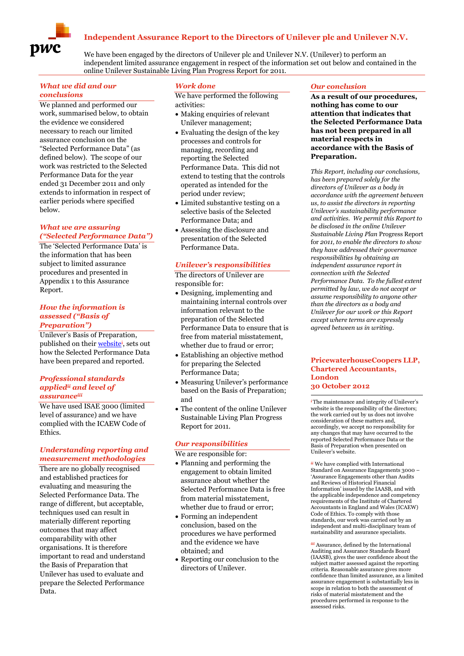# **Independent Assurance Report to the Directors of Unilever plc and Unilever N.V.**



We have been engaged by the directors of Unilever plc and Unilever N.V. (Unilever) to perform an independent limited assurance engagement in respect of the information set out below and contained in the online Unilever Sustainable Living Plan Progress Report for 2011.

## *What we did and our conclusions*

We planned and performed our work, summarised below, to obtain the evidence we considered necessary to reach our limited assurance conclusion on the "Selected Performance Data" (as defined below). The scope of our work was restricted to the Selected Performance Data for the year ended 31 December 2011 and only extends to information in respect of earlier periods where specified below.

#### *What we are assuring ("Selected Performance Data")*

The 'Selected Performance Data' is the information that has been subject to limited assurance procedures and presented in Appendix 1 to this Assurance Report.

#### *How the information is assessed ("Basis of Preparation")*

Unilever's Basis of Preparation, published on their [website](http://unilever.com/sustainable-living/assurancedataandcommentary/assurance/index.aspx)<sup>i</sup>, sets out how the Selected Performance Data have been prepared and reported.

#### *Professional standards appliedii and level of assuranceiii*

We have used ISAE 3000 (limited level of assurance) and we have complied with the ICAEW Code of Ethics.

#### *Understanding reporting and measurement methodologies*

There are no globally recognised and established practices for evaluating and measuring the Selected Performance Data. The range of different, but acceptable, techniques used can result in materially different reporting outcomes that may affect comparability with other organisations. It is therefore important to read and understand the Basis of Preparation that Unilever has used to evaluate and prepare the Selected Performance Data.

## *Work done*

We have performed the following activities:

- Making enquiries of relevant Unilever management;
- Evaluating the design of the key processes and controls for managing, recording and reporting the Selected Performance Data. This did not extend to testing that the controls operated as intended for the period under review;
- Limited substantive testing on a selective basis of the Selected Performance Data; and
- Assessing the disclosure and presentation of the Selected Performance Data.

#### *Unilever's responsibilities*

The directors of Unilever are responsible for:

- Designing, implementing and maintaining internal controls over information relevant to the preparation of the Selected Performance Data to ensure that is free from material misstatement, whether due to fraud or error;
- Establishing an objective method for preparing the Selected Performance Data;
- Measuring Unilever's performance based on the Basis of Preparation; and
- The content of the online Unilever Sustainable Living Plan Progress Report for 2011.

#### *Our responsibilities*

We are responsible for:

- Planning and performing the engagement to obtain limited assurance about whether the Selected Performance Data is free from material misstatement, whether due to fraud or error;
- Forming an independent conclusion, based on the procedures we have performed and the evidence we have obtained; and
- Reporting our conclusion to the directors of Unilever.

#### *Our conclusion*

**As a result of our procedures, nothing has come to our attention that indicates that the Selected Performance Data has not been prepared in all material respects in accordance with the Basis of Preparation.**

*This Report, including our conclusions, has been prepared solely for the directors of Unilever as a body in accordance with the agreement between us, to assist the directors in reporting Unilever's sustainability performance and activities. We permit this Report to be disclosed in the online Unilever Sustainable Living Plan* Progress Report for *2011, to enable the directors to show they have addressed their governance responsibilities by obtaining an independent assurance report in connection with the Selected Performance Data. To the fullest extent permitted by law, we do not accept or assume responsibility to anyone other than the directors as a body and Unilever for our work or this Report except where terms are expressly agreed between us in writing.*

#### **PricewaterhouseCoopers LLP, Chartered Accountants, London 30 October 2012**

*<sup>i</sup>*The maintenance and integrity of Unilever's website is the responsibility of the directors; the work carried out by us does not involve consideration of these matters and, accordingly, we accept no responsibility for any changes that may have occurred to the reported Selected Performance Data or the Basis of Preparation when presented on Unilever's website.

*ii* We have complied with International Standard on Assurance Engagements 3000 – 'Assurance Engagements other than Audits and Reviews of Historical Financial Information' issued by the IAASB, and with the applicable independence and competency requirements of the Institute of Chartered Accountants in England and Wales (ICAEW) Code of Ethics. To comply with those standards, our work was carried out by an independent and multi-disciplinary team of sustainability and assurance specialists.

*iii* Assurance, defined by the International Auditing and Assurance Standards Board (IAASB), gives the user confidence about the subject matter assessed against the reporting criteria. Reasonable assurance gives more confidence than limited assurance, as a limited assurance engagement is substantially less in scope in relation to both the assessment of risks of material misstatement and the procedures performed in response to the assessed risks.